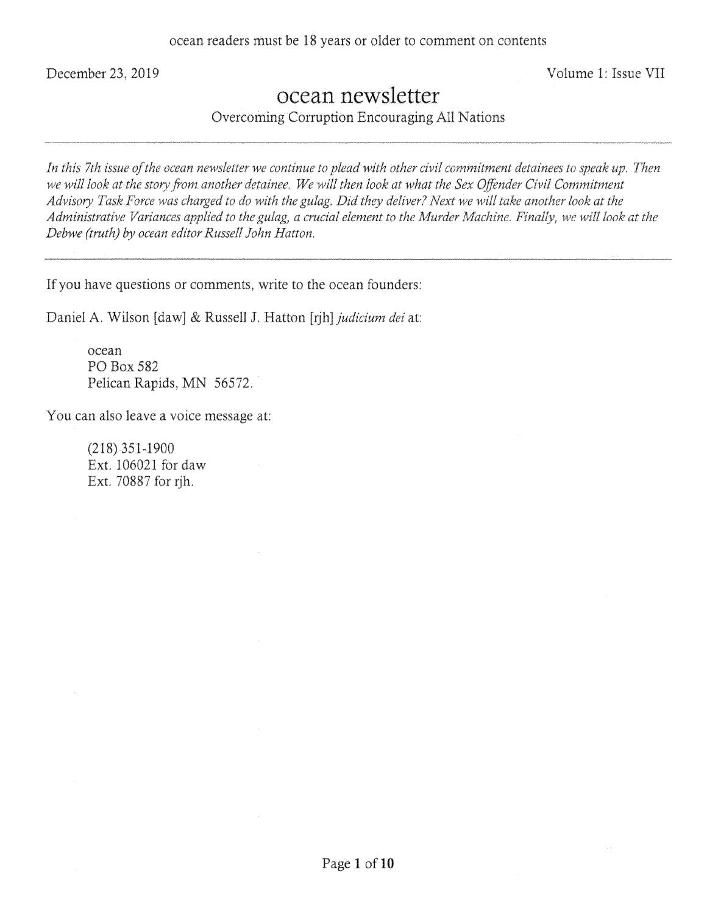December 23, 2019 Volume 1: Issue VII

# ocean newsletter

Overcoming Corruption Encouraging All Nations

*In this 7th issue of the ocean newsletter we continue to plead with other civil commitment detainees to speak up. Then*  we will look at the story from another detainee. We will then look at what the Sex Offender Civil Commitment *Advisory Task Force was charged to do with the gulag. Did they deliver? Next we will take another look at the Administrative Variances applied to the gulag, a crucial element to the Murder Machine, Finally, we will look at the Debwe (truth) by ocean editor Russell John Hatton.* 

If you have questions or comments, write to the ocean founders:

Daniel A. Wilson [daw] & Russell J. Hatton [rjh] *judicium dei* at:

ocean P0 Box 582 Pelican Rapids, MN *56572.* 

You can also leave a voice message at:

(218) 351-1900 Ext. 106021 for daw Ext. 70887 for rjh.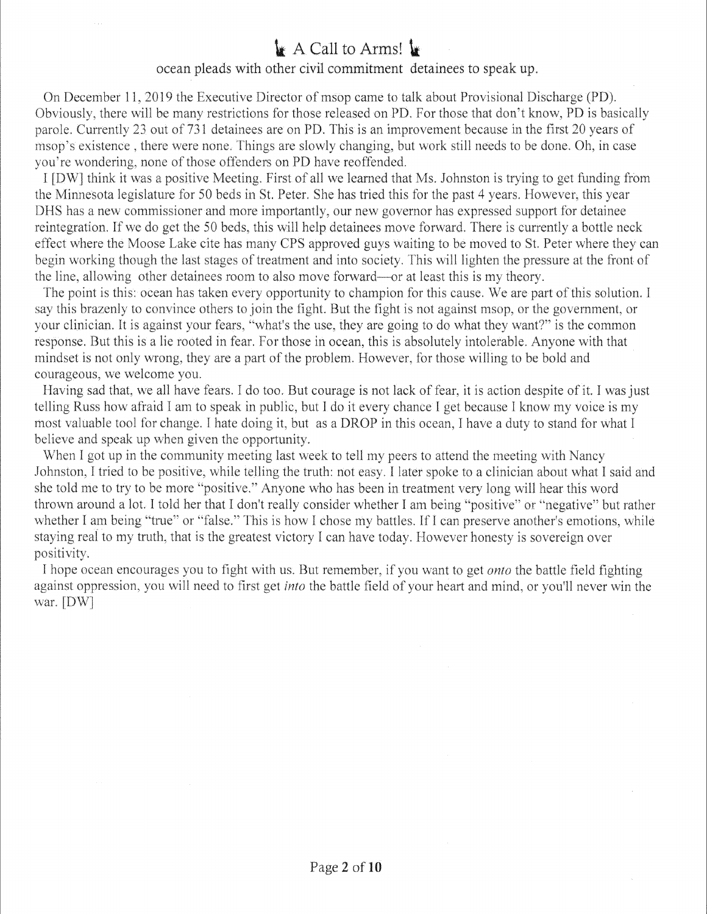# $\mathbf{k}$  A Call to Arms!  $\mathbf{k}$

### ocean pleads with other civil commitment detainees to speak up.

On December 11, 2019 the Executive Director of msop came to talk about Provisional Discharge (PD). Obviously, there will be many restrictions for those released on PD. For those that don't know, PD is basically parole. Currently 23 out of 731 detainees are on PD. This is an improvement because in the first 20 years of msop's existence, there were none. Things are slowly changing, but work still needs to be done. Oh, in case you're wondering, none of those offenders on PD have reoffended.

I [DW] think it was a positive Meeting. First of all we learned that Ms. Johnston is trying to get funding from the Minnesota legislature for 50 beds in St. Peter. She has tried this for the past 4 years. However, this year DHS has a new commissioner and more importantly, our new governor has expressed support for detainee reintegration. If we do get the 50 beds, this will help detainees move forward. There is currently a bottle neck effect where the Moose Lake cite has many CPS approved guys waiting to be moved to St. Peter where they can begin working though the last stages of treatment and into society. This will lighten the pressure at the front of the line, allowing other detainees room to also move forward—or at least this is my theory.

The point is this: ocean has taken every opportunity to champion for this cause. We are part of this solution. I say this brazenly to convince others to join the fight. But the fight is not against msop, or the government, or your clinician. It is against your fears, "what's the use, they are going to do what they want?" is the common response. But this is a lie rooted in fear. For those in ocean, this is absolutely intolerable. Anyone with that mindset is not only wrong, they are a part of the problem. However, for those willing to be bold and courageous, we welcome you.

Having sad that, we all have fears. I do too. But courage is not lack of fear, it is action despite of it. I was just telling Russ how afraid I am to speak in public, but I do it every chance I get because I know my voice is my most valuable tool for change. I hate doing it, but as a DROP in this ocean, I have a duty to stand for what I believe and speak up when given the opportunity.

When I got up in the community meeting last week to tell my peers to attend the meeting with Nancy Johnston, I tried to be positive, while telling the truth: not easy. I later spoke to a clinician about what I said and she told me to try to be more "positive." Anyone who has been in treatment very long will hear this word thrown around a lot. I told her that I don't really consider whether I am being "positive" or "negative" but rather whether I am being "true" or "false." This is how I chose my battles. If I can preserve another's emotions, while staying real to my truth, that is the greatest victory I can have today. However honesty is sovereign over positivity.

I hope ocean encourages you to fight with us. But remember, if you want to get *onto* the battle field fighting against oppression, you will need to first get *into* the battle field of your heart and mind, or you'll never win the war. [DW]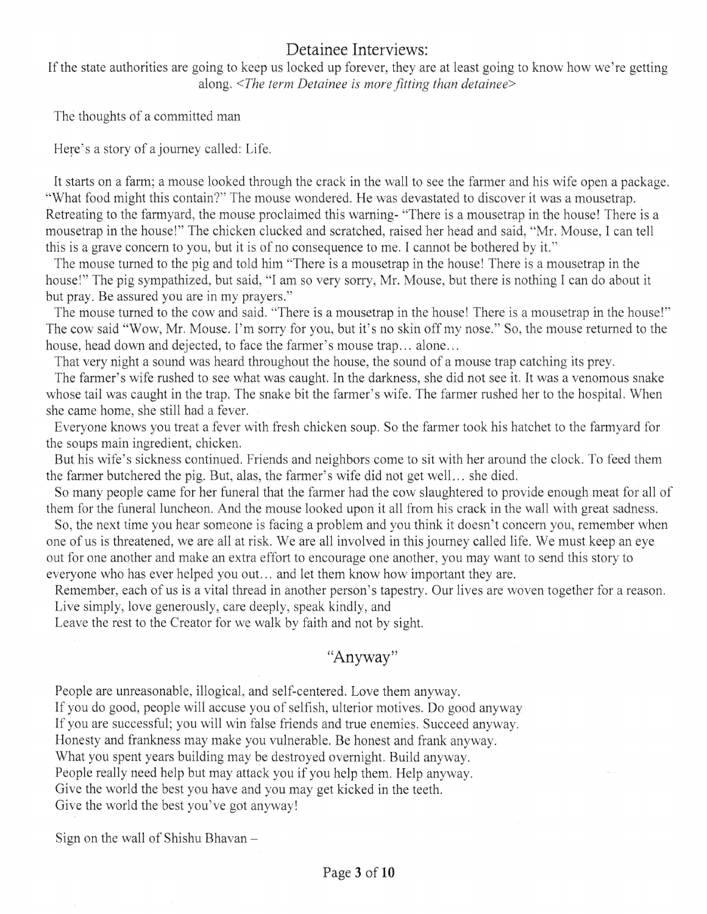### Detainee Interviews:

If the state authorities are going to keep us locked up forever, they are at least going to know how we're getting *along. <The term Detainee is more fitting than detainee>* 

The thoughts of a committed man

Here's a story of a journey called: Life.

It starts on a farm; a mouse looked through the crack in the wall to see the farmer and his wife open a package. "What food might this contain?" The mouse wondered. He was devastated to discover it was a mousetrap. Retreating to the farmyard, the mouse proclaimed this warning- "There is a mousetrap in the house! There is a mousetrap in the house!" The chicken clucked and scratched, raised her head and said, "Mr. Mouse, I can tell this is a grave concern to you, but it is of no consequence to me. I cannot be bothered by it."

The mouse turned to the pig and told him "There is a mousetrap in the house! There is a mousetrap in the house!" The pig sympathized, but said, "I am so very sorry, Mr. Mouse, but there is nothing I can do about it but pray. Be assured you are in my prayers."

The mouse turned to the cow and said. "There is a mousetrap in the house! There is a mousetrap in the house!" The cow said "Wow, Mr. Mouse. I'm sorry for you, but it's no skin off my nose." So, the mouse returned to the house, head down and dejected, to face the farmer's mouse trap... alone...

That very night a sound was heard throughout the house, the sound of a mouse trap catching its prey.

The farmer's wife rushed to see what was caught. In the darkness, she did not see it. It was a venomous snake whose tail was caught in the trap. The snake bit the farmer's wife. The farmer rushed her to the hospital. When she came home, she still had a fever.

Everyone knows you treat a fever with fresh chicken soup. So the farmer took his hatchet to the farmyard for the soups main ingredient, chicken.

But his wife's sickness continued. Friends and neighbors come to sit with her around the clock. To feed them the farmer butchered the pig. But, alas, the farmer's wife did not get well.., she died.

So many people came for her funeral that the farmer had the cow slaughtered to provide enough meat for all of them for the funeral luncheon. And the mouse looked upon it all from his crack in the wall with great sadness.

So, the next time you hear someone is facing a problem and you think it doesn't concern you, remember when one of us is threatened, we are all at risk. We are all involved in this journey called life. We must keep an eye out for one another and make an extra effort to encourage one another, you may want to send this story to everyone who has ever helped you out... and let them know how important they are.

Remember, each of us is a vital thread in another person's tapestry. Our lives are woven together for a reason. Live simply, love generously, care deeply, speak kindly, and

Leave the rest to the Creator for we walk by faith and not by sight.

## "Anyway"

People are unreasonable, illogical, and self-centered. Love them anyway. If you do good, people will accuse you of selfish, ulterior motives. Do good anyway If you are successful; you will win false friends and true enemies. Succeed anyway. Honesty and frankness may make you vulnerable. Be honest and frank anyway. What you spent years building may be destroyed overnight. Build anyway. People really need help but may attack you if you help them. Help anyway. Give the world the best you have and you may get kicked in the teeth. Give the world the best you've got anyway!

Sign on the wall of Shishu Bhavan -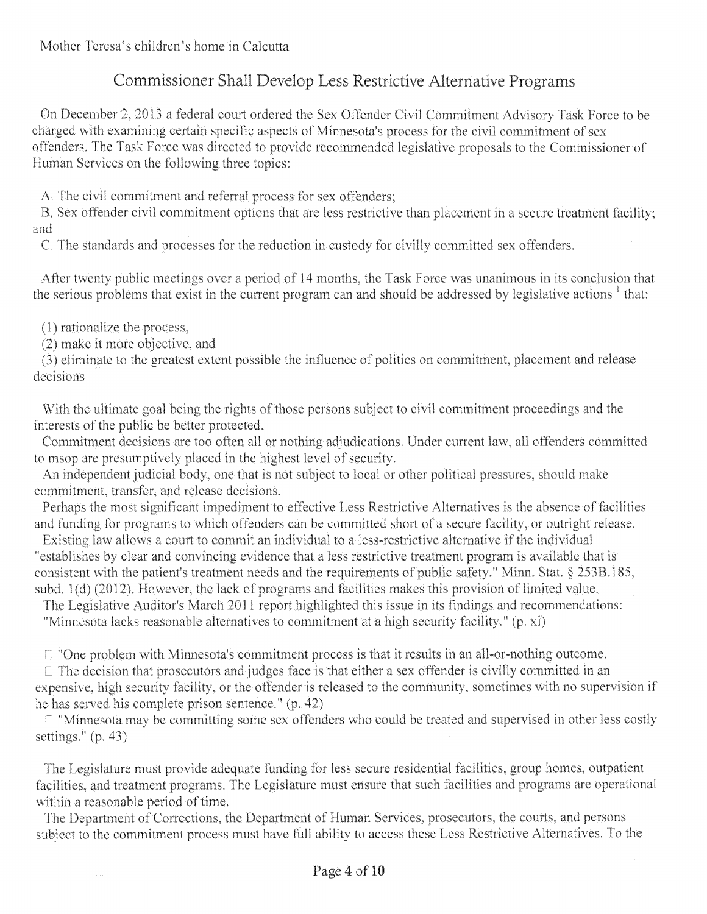# Commissioner Shall Develop Less Restrictive Alternative Programs

On December 2, 2013 a federal court ordered the Sex Offender Civil Commitment Advisory Task Force to be charged with examining certain specific aspects of Minnesota's process for the civil commitment of sex offenders. The Task Force was directed to provide recommended legislative proposals to the Commissioner of Human Services on the following three topics:

A. The civil commitment and referral process for sex offenders;

B. Sex offender civil commitment options that are less restrictive than placement in a secure treatment facility; and

C. The standards and processes for the reduction in custody for civilly committed sex offenders.

After twenty public meetings over a period of 14 months, the Task Force was unanimous in its conclusion that the serious problems that exist in the current program can and should be addressed by legislative actions  $\frac{1}{1}$  that:

(1) rationalize the process,

(2) make it more objective, and

(3) eliminate to the greatest extent possible the influence of politics on commitment, placement and release decisions

With the ultimate goal being the rights of those persons subject to civil commitment proceedings and the interests of the public be better protected.

Commitment decisions are too often all or nothing adjudications. Under current law, all offenders committed to msop are presumptively placed in the highest level of security.

An independent judicial body, one that is not subject to local or other political pressures, should make commitment, transfer, and release decisions.

Perhaps the most significant impediment to effective Less Restrictive Alternatives is the absence of facilities and funding for programs to which offenders can be committed short of a secure facility, or outright release.

Existing law allows a court to commit an individual to a less-restrictive alternative if the individual "establishes by clear and convincing evidence that a less restrictive treatment program is available that is consistent with the patient's treatment needs and the requirements of public safety." Minn. Stat. § 253B. *185,*  subd. 1(d) (2012). However, the lack of programs and facilities makes this provision of limited value.

The Legislative Auditor's March 2011 report highlighted this issue in its findings and recommendations: "Minnesota lacks reasonable alternatives to commitment at a high security facility." (p. xi)

 $\Box$  "One problem with Minnesota's commitment process is that it results in an all-or-nothing outcome.

 $\Box$  The decision that prosecutors and judges face is that either a sex offender is civilly committed in an expensive, high security facility, or the offender is released to the community, sometimes with no supervision if he has served his complete prison sentence." (p. 42)

El "Minnesota may be committing some sex offenders who could be treated and supervised in other less costly settings."  $(p. 43)$ 

The Legislature must provide adequate funding for less secure residential facilities, group homes, outpatient facilities, and treatment programs. The Legislature must ensure that such facilities and programs are operational within a reasonable period of time.

The Department of Corrections, the Department of Human Services, prosecutors, the courts, and persons subject to the commitment process must have full ability to access these Less Restrictive Alternatives. To the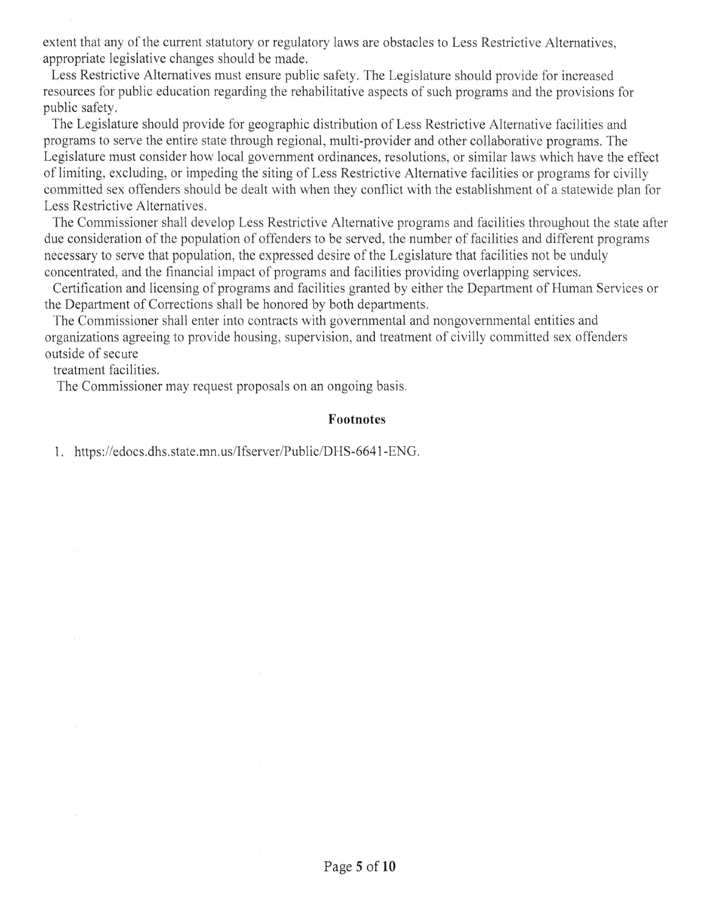extent that any of the current statutory or regulatory laws are obstacles to Less Restrictive Alternatives, appropriate legislative changes should be made.

Less Restrictive Alternatives must ensure public safety. The Legislature should provide for increased resources for public education regarding the rehabilitative aspects of such programs and the provisions for public safety.

The Legislature should provide for geographic distribution of Less Restrictive Alternative facilities and programs to serve the entire state through regional, multi-provider and other collaborative programs. The Legislature must consider how local government ordinances, resolutions, or similar laws which have the effect of limiting, excluding, or impeding the siting of Less Restrictive Alternative facilities or programs for civilly committed sex offenders should be dealt with when they conflict with the establishment of a statewide plan for Less Restrictive Alternatives.

The Commissioner shall develop Less Restrictive Alternative programs and facilities throughout the state after due consideration of the population of offenders to be served, the number of facilities and different programs necessary to serve that population, the expressed desire of the Legislature that facilities not be unduly concentrated, and the financial impact of programs and facilities providing overlapping services.

Certification and licensing of programs and facilities granted by either the Department of Human Services or the Department of Corrections shall be honored by both departments.

The Commissioner shall enter into contracts with governmental and nongovernmental entities and organizations agreeing to provide housing, supervision, and treatment of civilly committed sex offenders outside of secure

treatment facilities.

The Commissioner may request proposals on an ongoing basis.

### **Footnotes**

https://edocs.dhs.state.mn.us/Ifserver/Public/DHS-6641 -ENG.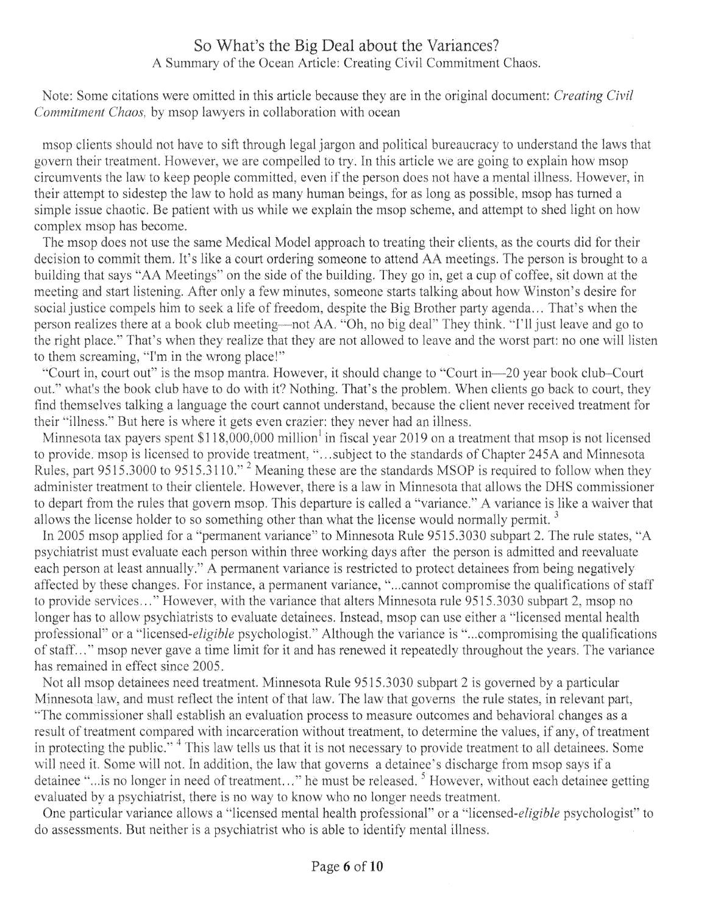### So What's the Big Deal about the Variances? A Summary of the Ocean Article: Creating Civil Commitment Chaos.

Note: Some citations were omitted in this article because they are in the original document: *Creating Civil Commitment Chaos,* by msop lawyers in collaboration with ocean

msop clients should not have to sift through legal jargon and political bureaucracy to understand the laws that govern their treatment. However, we are compelled to try. In this article we are going to explain how msop circumvents the law to keep people committed, even if the person does not have a mental illness. However, in their attempt to sidestep the law to hold as many human beings, for as long as possible, msop has turned a simple issue chaotic. Be patient with us while we explain the msop scheme, and attempt to shed light on how complex msop has become.

The msop does not use the same Medical Model approach to treating their clients, as the courts did for their decision to commit them. It's like a court ordering someone to attend AA meetings. The person is brought to a building that says "AA Meetings" on the side of the building. They go in, get a cup of coffee, sit down at the meeting and start listening. After only a few minutes, someone starts talking about how Winston's desire for social justice compels him to seek a life of freedom, despite the Big Brother party agenda... That's when the person realizes there at a book club meeting—not AA. "Oh, no big deal" They think. "I'll just leave and go to the right place." That's when they realize that they are not allowed to leave and the worst part: no one will listen to them screaming, "I'm in the wrong place!"

"Court in, court out" is the msop mantra. However, it should change to "Court in-20 year book club—Court out." what's the book club have to do with it? Nothing. That's the problem. When clients go back to court, they find themselves talking a language the court cannot understand, because the client never received treatment for their "illness." But here is where it gets even crazier: they never had an illness.

Minnesota tax payers spent \$118,000,000 million in fiscal year 2019 on a treatment that msop is not licensed to provide. msop is licensed to provide treatment, "...subject to the standards of Chapter 245A and Minnesota Rules, part 9515.3000 to 9515.3110." <sup>2</sup> Meaning these are the standards MSOP is required to follow when they administer treatment to their clientele. However, there is a law in Minnesota that allows the DHS commissioner to depart from the rules that govern msop. This departure is called a "variance." A variance is like a waiver that allows the license holder to so something other than what the license would normally permit.  $3$ 

In 2005 msop applied for a "permanent variance" to Minnesota Rule 9515.3030 subpart 2. The rule states, "A psychiatrist must evaluate each person within three working days after the person is admitted and reevaluate each person at least annually." A permanent variance is restricted to protect detainees from being negatively affected by these changes. For instance, a permanent variance, "...cannot compromise the qualifications of staff to provide services..." However, with the variance that alters Minnesota rule 9515.3030 subpart 2, msop no longer has to allow psychiatrists to evaluate detainees. Instead, msop can use either a "licensed mental health professional" or a *"licensed-eligible* psychologist." Although the variance is "...compromising the qualifications of staff..." msop never gave a time limit for it and has renewed it repeatedly throughout the years. The variance has remained in effect since 2005.

Not all msop detainees need treatment. Minnesota Rule 9515.3030 subpart 2 is governed by a particular Minnesota law, and must reflect the intent of that law. The law that governs the rule states, in relevant part, "The commissioner shall establish an evaluation process to measure outcomes and behavioral changes as a result of treatment compared with incarceration without treatment, to determine the values, if any, of treatment in protecting the public."<sup>4</sup> This law tells us that it is not necessary to provide treatment to all detainees. Some will need it. Some will not. In addition, the law that governs a detainee's discharge from msop says if a detainee "...is no longer in need of treatment..." he must be released. <sup>5</sup> However, without each detainee getting evaluated by a psychiatrist, there is no way to know who no longer needs treatment.

One particular variance allows a "licensed mental health professional" or a *"licensed-eligible* psychologist" to do assessments. But neither is a psychiatrist who is able to identify mental illness.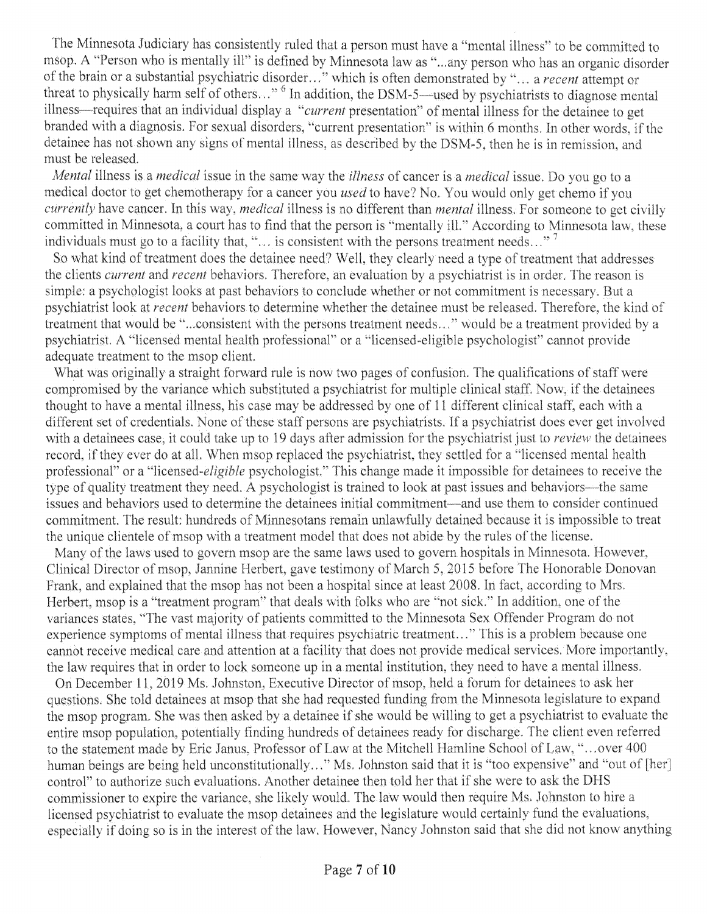The Minnesota Judiciary has consistently ruled that a person must have a "mental illness" to be committed to msop. A "Person who is mentally ill" is defined by Minnesota law as "...any person who has an organic disorder of the brain or a substantial psychiatric disorder..." which is often demonstrated by "... a *recent* attempt or threat to physically harm self of others..." 6 In addition, the DSM-5—used by psychiatrists to diagnose mental illness—requires that an individual display a *"current* presentation" of mental illness for the detainee to get branded with a diagnosis. For sexual disorders, "current presentation" is within 6 months. In other words, if the detainee has not shown any signs of mental illness, as described by the DSM-5, then he is in remission, and must be released.

*Mental* illness is a *medical* issue in the same way the *illness* of cancer is a *medical* issue. Do you go to a medical doctor to get chemotherapy for a cancer you *used* to have? No. You would only get chemo if you *currently* have cancer. In this way, *medical* illness is no different than *mental* illness. For someone to get civilly committed in Minnesota, a court has to find that the person is "mentally ill." According to Minnesota law, these individuals must go to a facility that, " $\dots$  is consistent with the persons treatment needs..."

So what kind of treatment does the detainee need? Well, they clearly need a type of treatment that addresses the clients *current* and *recent* behaviors. Therefore, an evaluation by a psychiatrist is in order. The reason is simple: a psychologist looks at past behaviors to conclude whether or not commitment is necessary. But a psychiatrist look at *recent* behaviors to determine whether the detainee must be released. Therefore, the kind of treatment that would be "...consistent with the persons treatment needs..." would be a treatment provided by a psychiatrist. A "licensed mental health professional" or a "licensed-eligible psychologist" cannot provide adequate treatment to the msop client.

What was originally a straight forward rule is now two pages of confusion. The qualifications of staff were compromised by the variance which substituted a psychiatrist for multiple clinical staff. Now, if the detainees thought to have a mental illness, his case may be addressed by one of 11 different clinical staff, each with a different set of credentials. None of these staff persons are psychiatrists. If a psychiatrist does ever get involved with a detainees case, it could take up to 19 days after admission for the psychiatrist just to *review* the detainees record, if they ever do at all. When msop replaced the psychiatrist, they settled for a "licensed mental health professional" or a *"licensed-eligible* psychologist." This change made it impossible for detainees to receive the type of quality treatment they need. A psychologist is trained to look at past issues and behaviors—the same issues and behaviors used to determine the detainees initial commitment—and use them to consider continued commitment. The result: hundreds of Minnesotans remain unlawfully detained because it is impossible to treat the unique clientele of msop with a treatment model that does not abide by the rules of the license.

Many of the laws used to govern msop are the same laws used to govern hospitals in Minnesota. However, Clinical Director of msop, Jannine Herbert, gave testimony of March *5,* 2015 before The Honorable Donovan Frank, and explained that the msop has not been a hospital since at least 2008. In fact, according to Mrs. Herbert, msop is a "treatment program" that deals with folks who are "not sick." In addition, one of the variances states, "The vast majority of patients committed to the Minnesota Sex Offender Program do not experience symptoms of mental illness that requires psychiatric treatment..." This is a problem because one cannot receive medical care and attention at a facility that does not provide medical services. More importantly, the law requires that in order to lock someone up in a mental institution, they need to have a mental illness.

On December 11, 2019 Ms. Johnston, Executive Director of msop, held a forum for detainees to ask her questions. She told detainees at msop that she had requested funding from the Minnesota legislature to expand the msop program. She was then asked by a detainee if she would be willing to get a psychiatrist to evaluate the entire msop population, potentially finding hundreds of detainees ready for discharge. The client even referred to the statement made by Eric Janus, Professor of Law at the Mitchell Hamline School of Law, "...over 400 human beings are being held unconstitutionally..." Ms. Johnston said that it is "too expensive" and "out of [her] control" to authorize such evaluations. Another detainee then told her that if she were to ask the DHS commissioner to expire the variance, she likely would. The law would then require Ms. Johnston to hire a licensed psychiatrist to evaluate the msop detainees and the legislature would certainly fund the evaluations, especially if doing so is in the interest of the law. However, Nancy Johnston said that she did not know anything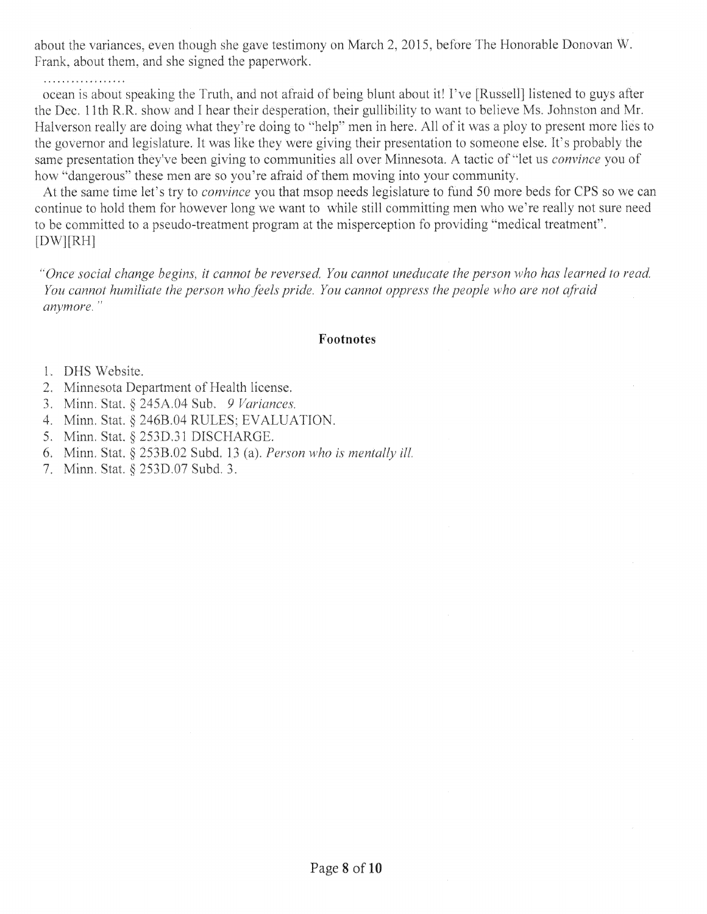about the variances, even though she gave testimony on March 2, 2015, before The Honorable Donovan W. Frank, about them, and she signed the paperwork.

### . . . . . . . . . . . . *. . . . .* . .

ocean is about speaking the Truth, and not afraid of being blunt about it! I've [Russell] listened to guys after the Dec. 11th R.R. show and I hear their desperation, their gullibility to want to believe Ms. Johnston and Mr. Halverson really are doing what they're doing to "help" men in here. All of it was a ploy to present more lies to the governor and legislature. It was like they were giving their presentation to someone else. It's probably the same presentation they've been giving to communities all over Minnesota. A tactic of "let us *convince you* of how "dangerous" these men are so you're afraid of them moving into your community.

At the same time let's try to *convince you* that msop needs legislature to fund 50 more beds for CPS so we can continue to hold them for however long we want to while still committing men who we're really not sure need to be committed to a pseudo-treatment program at the misperception fo providing "medical treatment".  $[DW] [RH]$ 

*"Once social change begins, it cannot be reversed. You cannot uneducate the person who has learned to read. You cannot humiliate the person who feels pride. You cannot oppress the people who are not afraid anymore."* 

#### **Footnotes**

### 1. DHS Website.

- 2. Minnesota Department of Health license.
- 3. Minn. Stat. § *245A.04* Sub. 9 *Variances.*
- 4. Minn. Stat. § 246B.04 RULES; EVALUATION.
- 5. Minn. Stat. § *253D.31* DISCHARGE.
- 6. Minn. Stat. § 25313.02 Subd. 13 (a). *Person who is mentally ill.*
- 7. Minn. Stat. § *253D.07* Subd. 3.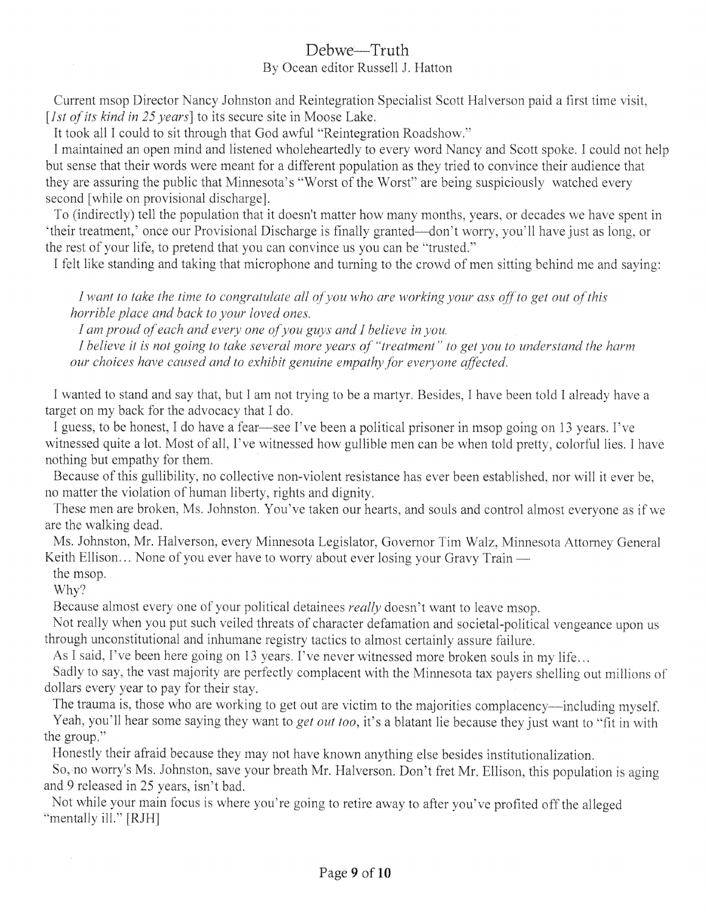## Debwe—Truth

### By Ocean editor Russell J. Hatton

Current msop Director Nancy Johnston and Reintegration Specialist Scott Halverson paid a first time visit, *[1st of its kind in 25 years]* to its secure site in Moose Lake.

It took all I could to sit through that God awful "Reintegration Roadshow."

I maintained an open mind and listened wholeheartedly to every word Nancy and Scott spoke. I could not help but sense that their words were meant for a different population as they tried to convince their audience that they are assuring the public that Minnesota's "Worst of the Worst" are being suspiciously watched every second [while on provisional discharge].

To (indirectly) tell the population that it doesn't matter how many months, years, or decades we have spent in 'their treatment,' once our Provisional Discharge is finally granted—don't worry, you'll have just as long, or the rest of your life, to pretend that you can convince us you can be "trusted."

I felt like standing and taking that microphone and turning to the crowd of men sitting behind me and saying:

*I want to take the time to congratulate all ofyou who are working your ass off to get out of this horrible place and back to your loved ones.* 

*• Jam proud of each and every one ofyou guys and I believe in you.* 

*I believe it is not going to take several more years of "treatment" to get you to understand the harm our choices have caused and to exhibit genuine empathy for everyone qffected.* 

I wanted to stand and say that, but I am not trying to be a martyr. Besides, I have been told I already have a target on my back for the advocacy that I do.

I guess, to be honest, I do have a fear—see I've been a political prisoner in msop going on 13 years. I've witnessed quite a lot. Most of all, I've witnessed how gullible men can be when told pretty, colorful lies. I have nothing but empathy for them.

Because of this gullibility, no collective non-violent resistance has ever been established, nor will it ever be, no matter the violation of human liberty, rights and dignity.

These men are broken, Ms. Johnston. You've taken our hearts, and souls and control almost everyone as if we are the walking dead.

Ms. Johnston, Mr. Halverson, every Minnesota Legislator, Governor Tim Walz, Minnesota Attorney General Keith Ellison... None of you ever have to worry about ever losing your Gravy Train -

the msop.

Why?

Because almost every one of your political detainees *really* doesn't want to leave msop.

Not really when you put such veiled threats of character defamation and societal-political vengeance upon us through unconstitutional and inhumane registry tactics to almost certainly assure failure.

As I said, I've been here going on 13 years. I've never witnessed more broken souls in my life...

Sadly to say, the vast majority are perfectly complacent with the Minnesota tax payers shelling out millions of dollars every year to pay for their stay.

The trauma is, those who are working to get out are victim to the majorities complacency—including myself. Yeah, you'll hear some saying they want to *get out too*, it's a blatant lie because they just want to "fit in with the group."

Honestly their afraid because they may not have known anything else besides institutionalization.

So, no worry's Ms. Johnston, save your breath Mr. Halverson. Don't fret Mr. Ellison, this population is aging and 9 released in *25* years, isn't bad.

Not while your main focus is where you're going to retire away to after you've profited off the alleged "mentally ill." [RJH]